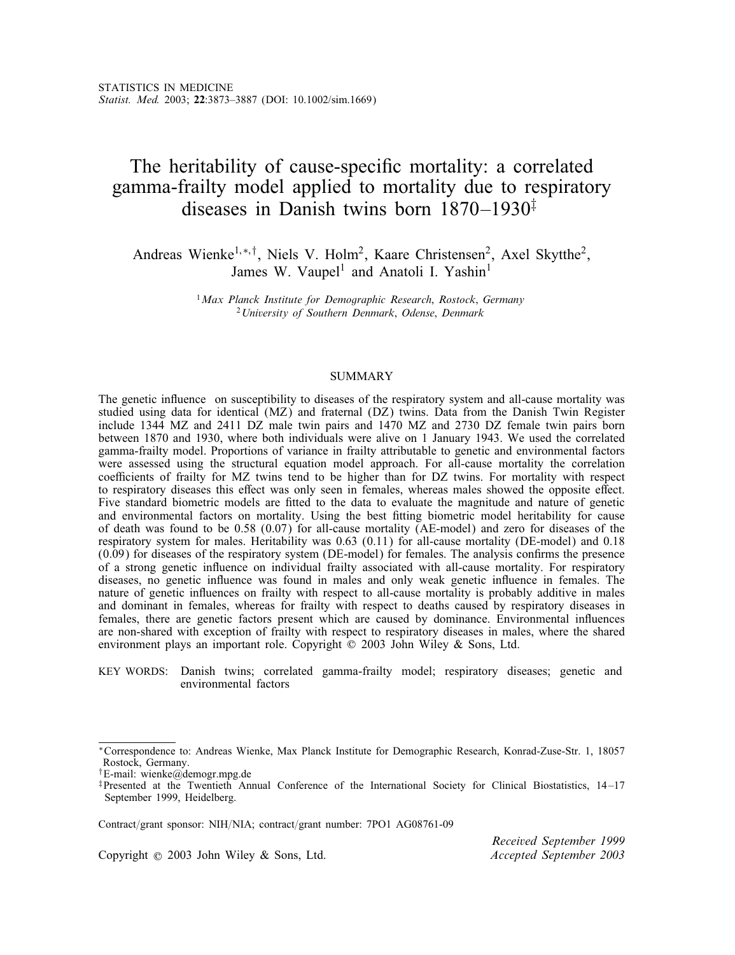# The heritability of cause-specific mortality: a correlated gamma-frailty model applied to mortality due to respiratory diseases in Danish twins born  $1870-1930^{\ddagger}$

Andreas Wienke<sup>1,∗,†</sup>, Niels V. Holm<sup>2</sup>, Kaare Christensen<sup>2</sup>, Axel Skytthe<sup>2</sup>, James W. Vaupel<sup>1</sup> and Anatoli I. Yashin<sup>1</sup>

> <sup>1</sup>*Max Planck Institute for Demographic Research*; *Rostock*; *Germany* <sup>2</sup>*University of Southern Denmark*; *Odense*; *Denmark*

# SUMMARY

The genetic influence on susceptibility to diseases of the respiratory system and all-cause mortality was studied using data for identical (MZ) and fraternal (DZ) twins. Data from the Danish Twin Register include 1344 MZ and 2411 DZ male twin pairs and 1470 MZ and 2730 DZ female twin pairs born between 1870 and 1930, where both individuals were alive on 1 January 1943. We used the correlated gamma-frailty model. Proportions of variance in frailty attributable to genetic and environmental factors were assessed using the structural equation model approach. For all-cause mortality the correlation coefficients of frailty for MZ twins tend to be higher than for DZ twins. For mortality with respect to respiratory diseases this effect was only seen in females, whereas males showed the opposite effect. Five standard biometric models are fitted to the data to evaluate the magnitude and nature of genetic and environmental factors on mortality. Using the best tting biometric model heritability for cause of death was found to be 0.58  $(0.07)$  for all-cause mortality (AE-model) and zero for diseases of the respiratory system for males. Heritability was 0.63 (0.11) for all-cause mortality (DE-model) and 0.18  $(0.09)$  for diseases of the respiratory system (DE-model) for females. The analysis confirms the presence of a strong genetic influence on individual frailty associated with all-cause mortality. For respiratory diseases, no genetic influence was found in males and only weak genetic influence in females. The nature of genetic influences on frailty with respect to all-cause mortality is probably additive in males and dominant in females, whereas for frailty with respect to deaths caused by respiratory diseases in females, there are genetic factors present which are caused by dominance. Environmental influences are non-shared with exception of frailty with respect to respiratory diseases in males, where the shared environment plays an important role. Copyright © 2003 John Wiley & Sons, Ltd.

KEY WORDS: Danish twins; correlated gamma-frailty model; respiratory diseases; genetic and environmental factors

Contract/grant sponsor: NIH/NIA; contract/grant number: 7PO1 AG08761-09

Copyright ? 2003 John Wiley & Sons, Ltd. *Accepted September 2003*

*Received September 1999*

<sup>∗</sup>Correspondence to: Andreas Wienke, Max Planck Institute for Demographic Research, Konrad-Zuse-Str. 1, 18057 Rostock, Germany.

<sup>†</sup>E-mail: wienke@demogr.mpg.de

<sup>‡</sup>Presented at the Twentieth Annual Conference of the International Society for Clinical Biostatistics, 14 –17 September 1999, Heidelberg.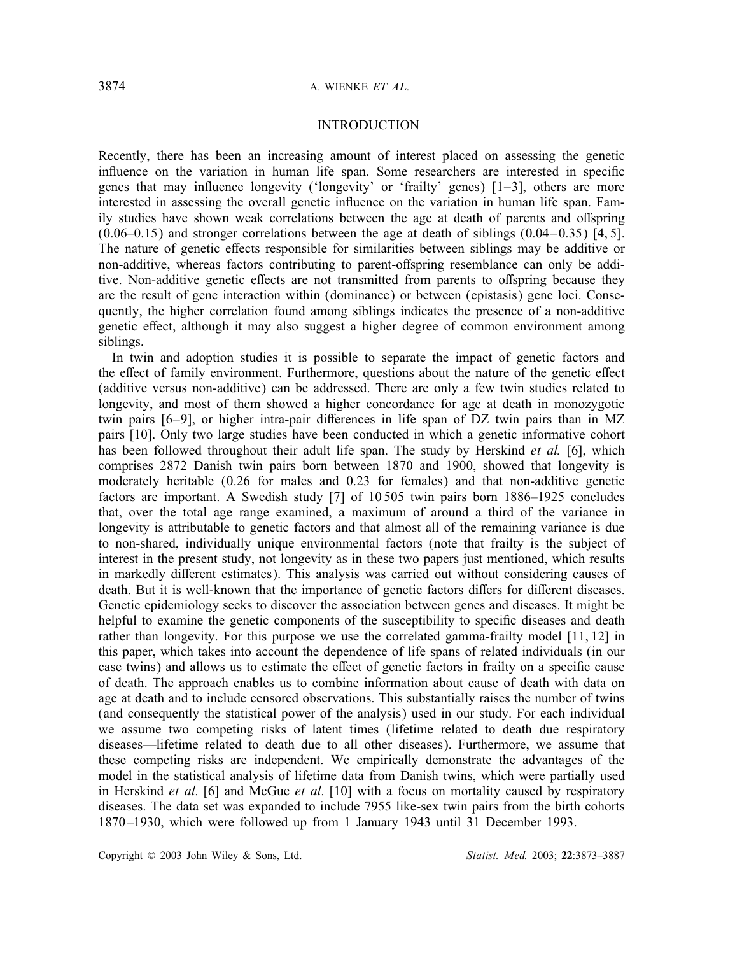# INTRODUCTION

Recently, there has been an increasing amount of interest placed on assessing the genetic influence on the variation in human life span. Some researchers are interested in specific genes that may influence longevity ('longevity' or 'frailty' genes)  $[1-3]$ , others are more interested in assessing the overall genetic influence on the variation in human life span. Family studies have shown weak correlations between the age at death of parents and offspring  $(0.06-0.15)$  and stronger correlations between the age at death of siblings  $(0.04-0.35)$  [4, 5]. The nature of genetic effects responsible for similarities between siblings may be additive or non-additive, whereas factors contributing to parent-offspring resemblance can only be additive. Non-additive genetic effects are not transmitted from parents to offspring because they are the result of gene interaction within (dominance) or between (epistasis) gene loci. Consequently, the higher correlation found among siblings indicates the presence of a non-additive genetic effect, although it may also suggest a higher degree of common environment among siblings.

In twin and adoption studies it is possible to separate the impact of genetic factors and the effect of family environment. Furthermore, questions about the nature of the genetic effect (additive versus non-additive) can be addressed. There are only a few twin studies related to longevity, and most of them showed a higher concordance for age at death in monozygotic twin pairs  $[6-9]$ , or higher intra-pair differences in life span of DZ twin pairs than in MZ pairs [10]. Only two large studies have been conducted in which a genetic informative cohort has been followed throughout their adult life span. The study by Herskind *et al.* [6], which comprises 2872 Danish twin pairs born between 1870 and 1900, showed that longevity is moderately heritable (0.26 for males and 0.23 for females) and that non-additive genetic factors are important. A Swedish study [7] of 10 505 twin pairs born 1886–1925 concludes that, over the total age range examined, a maximum of around a third of the variance in longevity is attributable to genetic factors and that almost all of the remaining variance is due to non-shared, individually unique environmental factors (note that frailty is the subject of interest in the present study, not longevity as in these two papers just mentioned, which results in markedly different estimates). This analysis was carried out without considering causes of death. But it is well-known that the importance of genetic factors differs for different diseases. Genetic epidemiology seeks to discover the association between genes and diseases. It might be helpful to examine the genetic components of the susceptibility to specific diseases and death rather than longevity. For this purpose we use the correlated gamma-frailty model [11, 12] in this paper, which takes into account the dependence of life spans of related individuals (in our case twins) and allows us to estimate the effect of genetic factors in frailty on a specific cause of death. The approach enables us to combine information about cause of death with data on age at death and to include censored observations. This substantially raises the number of twins (and consequently the statistical power of the analysis) used in our study. For each individual we assume two competing risks of latent times (lifetime related to death due respiratory diseases—lifetime related to death due to all other diseases). Furthermore, we assume that these competing risks are independent. We empirically demonstrate the advantages of the model in the statistical analysis of lifetime data from Danish twins, which were partially used in Herskind *et al*. [6] and McGue *et al*. [10] with a focus on mortality caused by respiratory diseases. The data set was expanded to include 7955 like-sex twin pairs from the birth cohorts 1870–1930, which were followed up from 1 January 1943 until 31 December 1993.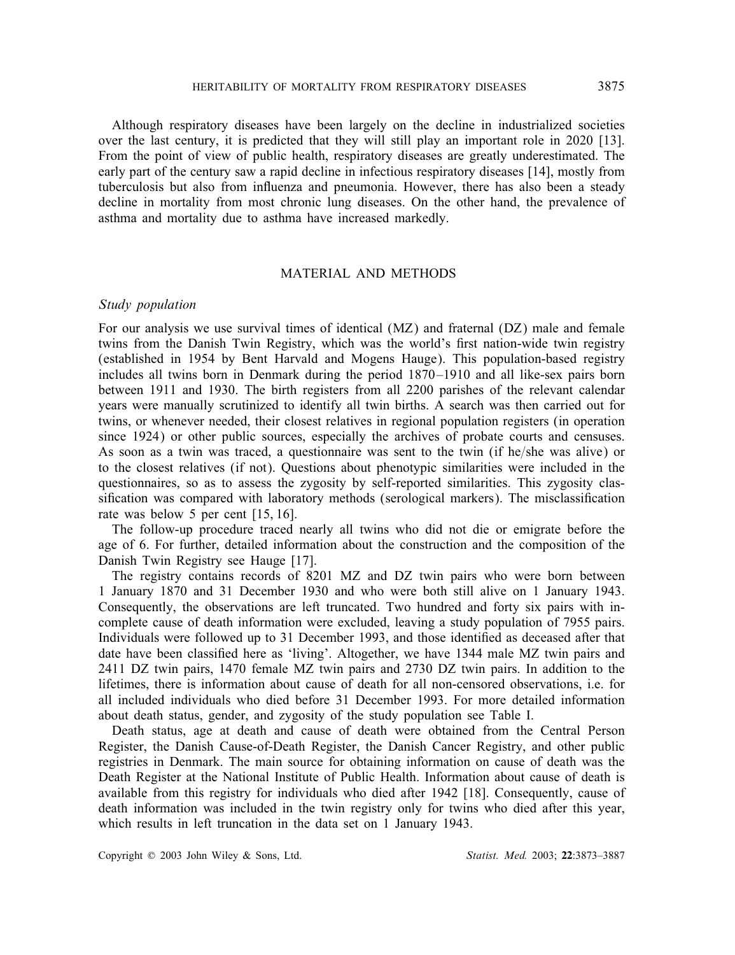Although respiratory diseases have been largely on the decline in industrialized societies over the last century, it is predicted that they will still play an important role in 2020 [13]. From the point of view of public health, respiratory diseases are greatly underestimated. The early part of the century saw a rapid decline in infectious respiratory diseases [14], mostly from tuberculosis but also from influenza and pneumonia. However, there has also been a steady decline in mortality from most chronic lung diseases. On the other hand, the prevalence of asthma and mortality due to asthma have increased markedly.

# MATERIAL AND METHODS

### *Study population*

For our analysis we use survival times of identical (MZ) and fraternal (DZ) male and female twins from the Danish Twin Registry, which was the world's first nation-wide twin registry (established in 1954 by Bent Harvald and Mogens Hauge). This population-based registry includes all twins born in Denmark during the period 1870–1910 and all like-sex pairs born between 1911 and 1930. The birth registers from all 2200 parishes of the relevant calendar years were manually scrutinized to identify all twin births. A search was then carried out for twins, or whenever needed, their closest relatives in regional population registers (in operation since 1924) or other public sources, especially the archives of probate courts and censuses. As soon as a twin was traced, a questionnaire was sent to the twin (if he/she was alive) or to the closest relatives (if not). Questions about phenotypic similarities were included in the questionnaires, so as to assess the zygosity by self-reported similarities. This zygosity classification was compared with laboratory methods (serological markers). The misclassification rate was below 5 per cent [15, 16].

The follow-up procedure traced nearly all twins who did not die or emigrate before the age of 6. For further, detailed information about the construction and the composition of the Danish Twin Registry see Hauge [17].

The registry contains records of 8201 MZ and DZ twin pairs who were born between 1 January 1870 and 31 December 1930 and who were both still alive on 1 January 1943. Consequently, the observations are left truncated. Two hundred and forty six pairs with incomplete cause of death information were excluded, leaving a study population of 7955 pairs. Individuals were followed up to 31 December 1993, and those identied as deceased after that date have been classified here as 'living'. Altogether, we have 1344 male MZ twin pairs and 2411 DZ twin pairs, 1470 female MZ twin pairs and 2730 DZ twin pairs. In addition to the lifetimes, there is information about cause of death for all non-censored observations, i.e. for all included individuals who died before 31 December 1993. For more detailed information about death status, gender, and zygosity of the study population see Table I.

Death status, age at death and cause of death were obtained from the Central Person Register, the Danish Cause-of-Death Register, the Danish Cancer Registry, and other public registries in Denmark. The main source for obtaining information on cause of death was the Death Register at the National Institute of Public Health. Information about cause of death is available from this registry for individuals who died after 1942 [18]. Consequently, cause of death information was included in the twin registry only for twins who died after this year, which results in left truncation in the data set on 1 January 1943.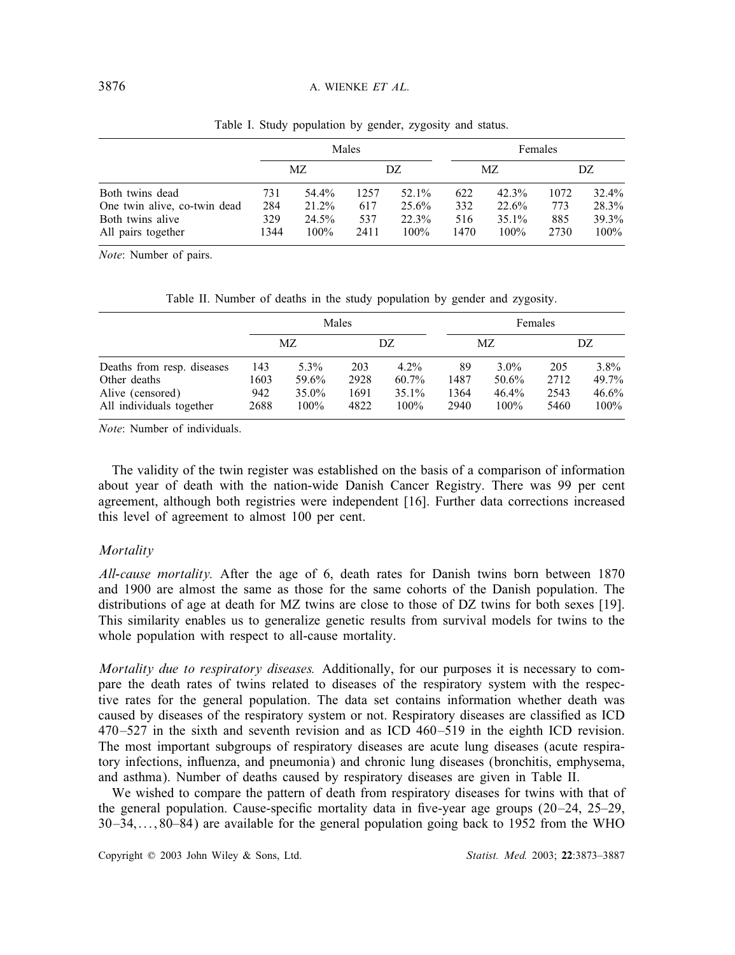|                              |      | Males   |           |         |      | Females  |      |         |  |
|------------------------------|------|---------|-----------|---------|------|----------|------|---------|--|
|                              |      | МZ      | МZ<br>DZ. |         | DZ   |          |      |         |  |
| Both twins dead              | 731  | 54.4%   | 1257      | 52.1%   | 622  | 42.3%    | 1072 | 32.4%   |  |
| One twin alive, co-twin dead | 284  | 21.2%   | 617       | 25.6%   | 332  | 22.6%    | 773  | 28.3%   |  |
| Both twins alive             | 329  | 24.5%   | 537       | 22.3%   | 516  | $35.1\%$ | 885  | 39.3%   |  |
| All pairs together           | 1344 | $100\%$ | 2411      | $100\%$ | 1470 | $100\%$  | 2730 | $100\%$ |  |

Table I. Study population by gender, zygosity and status.

*Note*: Number of pairs.

|  |  |  |  |  |  |  | Table II. Number of deaths in the study population by gender and zygosity. |  |  |  |  |
|--|--|--|--|--|--|--|----------------------------------------------------------------------------|--|--|--|--|
|--|--|--|--|--|--|--|----------------------------------------------------------------------------|--|--|--|--|

|                                              |             |                  | Males        |                     | Females      |                  |              |               |  |
|----------------------------------------------|-------------|------------------|--------------|---------------------|--------------|------------------|--------------|---------------|--|
|                                              |             | МZ               |              | DZ.                 |              | MZ.              |              | DZ.           |  |
| Deaths from resp. diseases                   | 143         | 5.3%             | 203          | $4.2\%$             | 89           | $3.0\%$          | 205          | $3.8\%$       |  |
| Other deaths                                 | 1603        | 59.6%            | 2928         | $60.7\%$            | 1487         | 50.6%            | 2712         | 49.7%         |  |
| Alive (censored)<br>All individuals together | 942<br>2688 | 35.0%<br>$100\%$ | 1691<br>4822 | $35.1\%$<br>$100\%$ | 1364<br>2940 | 46.4%<br>$100\%$ | 2543<br>5460 | 46.6%<br>100% |  |

*Note*: Number of individuals.

The validity of the twin register was established on the basis of a comparison of information about year of death with the nation-wide Danish Cancer Registry. There was 99 per cent agreement, although both registries were independent [16]. Further data corrections increased this level of agreement to almost 100 per cent.

### *Mortality*

*All-cause mortality.* After the age of 6, death rates for Danish twins born between 1870 and 1900 are almost the same as those for the same cohorts of the Danish population. The distributions of age at death for MZ twins are close to those of DZ twins for both sexes [19]. This similarity enables us to generalize genetic results from survival models for twins to the whole population with respect to all-cause mortality.

*Mortality due to respiratory diseases.* Additionally, for our purposes it is necessary to compare the death rates of twins related to diseases of the respiratory system with the respective rates for the general population. The data set contains information whether death was caused by diseases of the respiratory system or not. Respiratory diseases are classied as ICD 470–527 in the sixth and seventh revision and as ICD 460–519 in the eighth ICD revision. The most important subgroups of respiratory diseases are acute lung diseases (acute respiratory infections, influenza, and pneumonia) and chronic lung diseases (bronchitis, emphysema, and asthma). Number of deaths caused by respiratory diseases are given in Table II.

We wished to compare the pattern of death from respiratory diseases for twins with that of the general population. Cause-specific mortality data in five-year age groups  $(20-24, 25-29, 100)$  $30-34$ ,...;  $80-84$ ) are available for the general population going back to 1952 from the WHO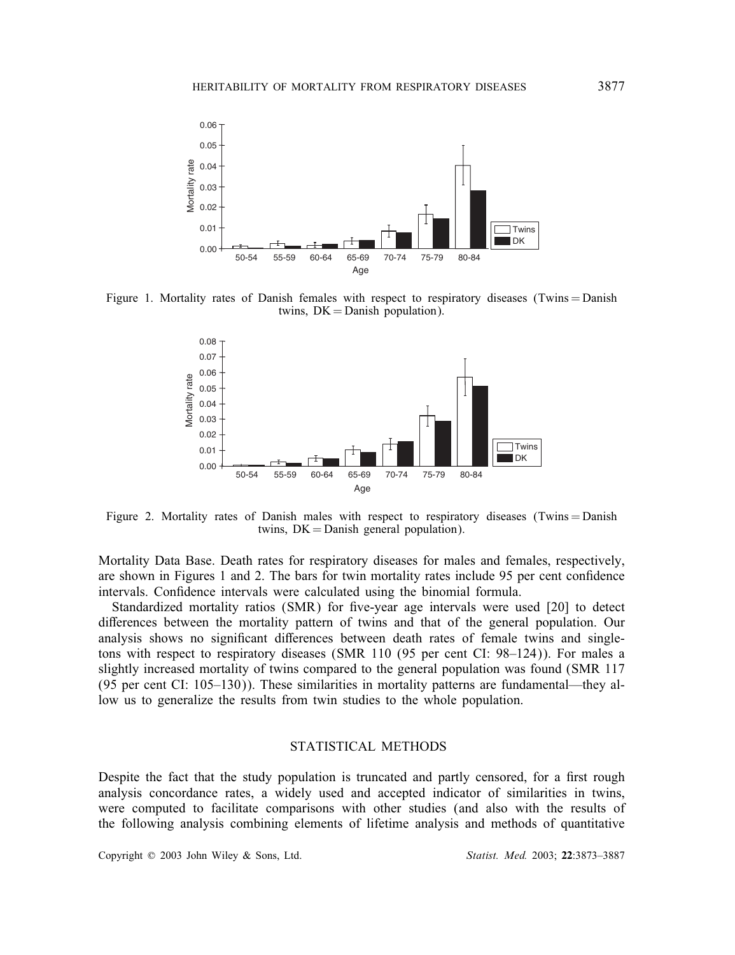

Figure 1. Mortality rates of Danish females with respect to respiratory diseases (Twins = Danish twins,  $DK =$ Danish population).



Figure 2. Mortality rates of Danish males with respect to respiratory diseases (Twins = Danish twins,  $DK = Danish$  general population).

Mortality Data Base. Death rates for respiratory diseases for males and females, respectively, are shown in Figures 1 and 2. The bars for twin mortality rates include 95 per cent condence intervals. Confidence intervals were calculated using the binomial formula.

Standardized mortality ratios  $(SMR)$  for five-year age intervals were used  $[20]$  to detect differences between the mortality pattern of twins and that of the general population. Our analysis shows no significant differences between death rates of female twins and singletons with respect to respiratory diseases (SMR 110 (95 per cent CI: 98–124)). For males a slightly increased mortality of twins compared to the general population was found (SMR 117 (95 per cent CI: 105–130)). These similarities in mortality patterns are fundamental—they allow us to generalize the results from twin studies to the whole population.

# STATISTICAL METHODS

Despite the fact that the study population is truncated and partly censored, for a first rough analysis concordance rates, a widely used and accepted indicator of similarities in twins, were computed to facilitate comparisons with other studies (and also with the results of the following analysis combining elements of lifetime analysis and methods of quantitative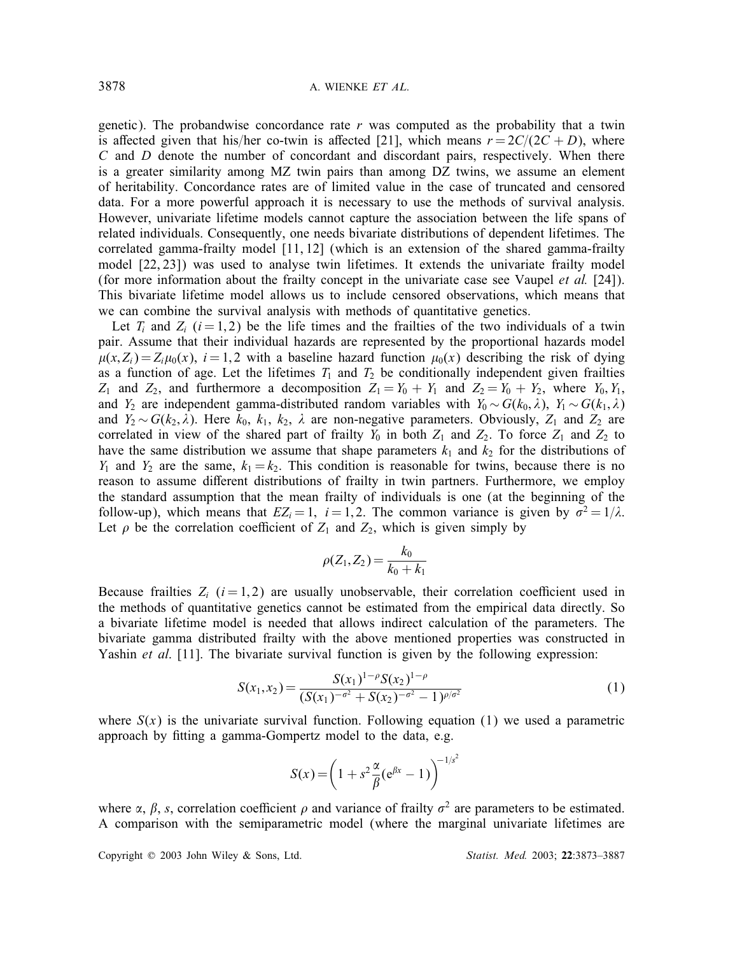genetic). The probandwise concordance rate  $r$  was computed as the probability that a twin is affected given that his/her co-twin is affected [21], which means  $r = 2C/(2C + D)$ , where C and D denote the number of concordant and discordant pairs, respectively. When there is a greater similarity among MZ twin pairs than among DZ twins, we assume an element of heritability. Concordance rates are of limited value in the case of truncated and censored data. For a more powerful approach it is necessary to use the methods of survival analysis. However, univariate lifetime models cannot capture the association between the life spans of related individuals. Consequently, one needs bivariate distributions of dependent lifetimes. The correlated gamma-frailty model [11, 12] (which is an extension of the shared gamma-frailty model [22, 23]) was used to analyse twin lifetimes. It extends the univariate frailty model (for more information about the frailty concept in the univariate case see Vaupel *et al.* [24]). This bivariate lifetime model allows us to include censored observations, which means that we can combine the survival analysis with methods of quantitative genetics.

Let  $T_i$  and  $Z_i$   $(i = 1, 2)$  be the life times and the frailties of the two individuals of a twin pair. Assume that their individual hazards are represented by the proportional hazards model  $\mu(x, Z_i) = Z_i \mu_0(x)$ ,  $i = 1, 2$  with a baseline hazard function  $\mu_0(x)$  describing the risk of dying as a function of age. Let the lifetimes  $T_1$  and  $T_2$  be conditionally independent given frailties Z<sup>1</sup> and Z2, and furthermore a decomposition Z<sup>1</sup> = Y<sup>0</sup> + Y<sup>1</sup> and Z<sup>2</sup> = Y<sup>0</sup> + Y2, where Y0; Y1, and Y<sub>2</sub> are independent gamma-distributed random variables with  $Y_0 \sim G(k_0, \lambda)$ ,  $Y_1 \sim G(k_1, \lambda)$ and  $Y_2 \sim G(k_2, \lambda)$ . Here  $k_0, k_1, k_2, \lambda$  are non-negative parameters. Obviously,  $Z_1$  and  $Z_2$  are correlated in view of the shared part of frailty  $Y_0$  in both  $Z_1$  and  $Z_2$ . To force  $Z_1$  and  $Z_2$  to have the same distribution we assume that shape parameters  $k_1$  and  $k_2$  for the distributions of  $Y_1$  and  $Y_2$  are the same,  $k_1 = k_2$ . This condition is reasonable for twins, because there is no reason to assume different distributions of frailty in twin partners. Furthermore, we employ the standard assumption that the mean frailty of individuals is one (at the beginning of the follow-up), which means that  $EZ_i = 1$ ,  $i = 1, 2$ . The common variance is given by  $\sigma^2 = 1/\lambda$ . Let  $\rho$  be the correlation coefficient of  $Z_1$  and  $Z_2$ , which is given simply by

$$
\rho(Z_1, Z_2) = \frac{k_0}{k_0 + k_1}
$$

Because frailties  $Z_i$  ( $i = 1, 2$ ) are usually unobservable, their correlation coefficient used in the methods of quantitative genetics cannot be estimated from the empirical data directly. So a bivariate lifetime model is needed that allows indirect calculation of the parameters. The bivariate gamma distributed frailty with the above mentioned properties was constructed in Yashin *et al.* [11]. The bivariate survival function is given by the following expression:

$$
S(x_1, x_2) = \frac{S(x_1)^{1-\rho} S(x_2)^{1-\rho}}{(S(x_1)^{-\sigma^2} + S(x_2)^{-\sigma^2} - 1)^{\rho/\sigma^2}}
$$
(1)

where  $S(x)$  is the univariate survival function. Following equation (1) we used a parametric approach by fitting a gamma-Gompertz model to the data, e.g.

$$
S(x) = \left(1 + s^2 \frac{\alpha}{\beta} (e^{\beta x} - 1) \right)^{-1/s^2}
$$

where  $\alpha$ ,  $\beta$ , s, correlation coefficient  $\rho$  and variance of frailty  $\sigma^2$  are parameters to be estimated. A comparison with the semiparametric model (where the marginal univariate lifetimes are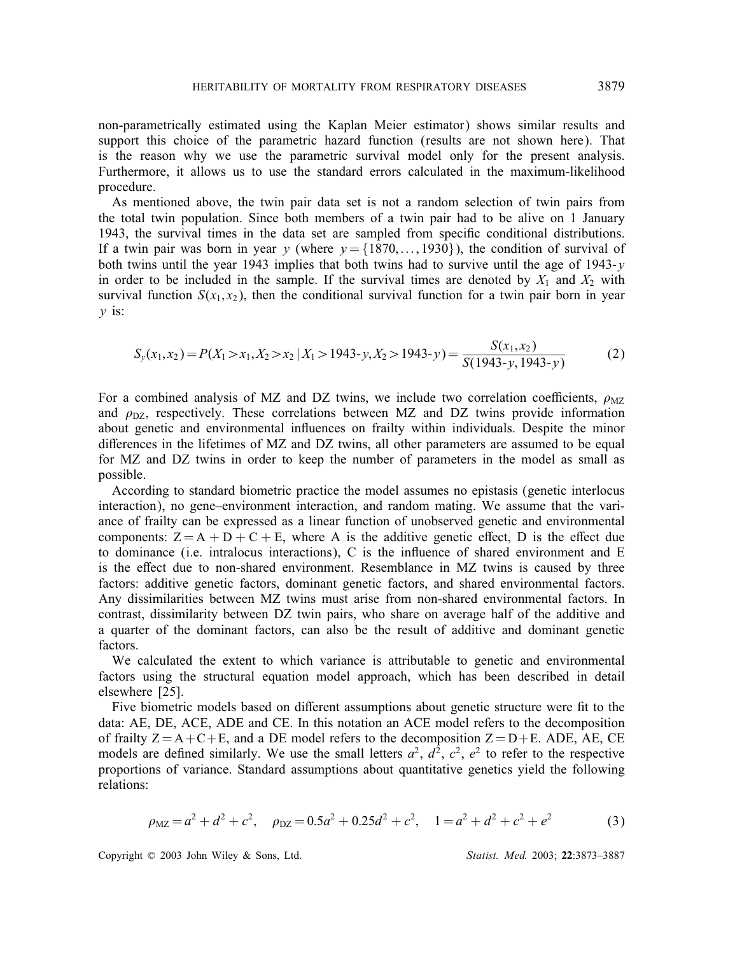non-parametrically estimated using the Kaplan Meier estimator) shows similar results and support this choice of the parametric hazard function (results are not shown here). That is the reason why we use the parametric survival model only for the present analysis. Furthermore, it allows us to use the standard errors calculated in the maximum-likelihood procedure.

As mentioned above, the twin pair data set is not a random selection of twin pairs from the total twin population. Since both members of a twin pair had to be alive on 1 January 1943, the survival times in the data set are sampled from specic conditional distributions. If a twin pair was born in year y (where  $y = \{1870, \ldots, 1930\}$ ), the condition of survival of both twins until the year 1943 implies that both twins had to survive until the age of 1943-y in order to be included in the sample. If the survival times are denoted by  $X_1$  and  $X_2$  with survival function  $S(x_1, x_2)$ , then the conditional survival function for a twin pair born in year  $y$  is:

$$
S_y(x_1, x_2) = P(X_1 > x_1, X_2 > x_2 | X_1 > 1943 - y, X_2 > 1943 - y) = \frac{S(x_1, x_2)}{S(1943 - y, 1943 - y)}\tag{2}
$$

For a combined analysis of MZ and DZ twins, we include two correlation coefficients,  $\rho_{\text{MZ}}$ and  $\rho_{\text{DZ}}$ , respectively. These correlations between MZ and DZ twins provide information about genetic and environmental influences on frailty within individuals. Despite the minor differences in the lifetimes of  $MZ$  and  $DZ$  twins, all other parameters are assumed to be equal for MZ and DZ twins in order to keep the number of parameters in the model as small as possible.

According to standard biometric practice the model assumes no epistasis (genetic interlocus interaction), no gene–environment interaction, and random mating. We assume that the variance of frailty can be expressed as a linear function of unobserved genetic and environmental components:  $Z = A + D + C + E$ , where A is the additive genetic effect, D is the effect due to dominance (i.e. intralocus interactions),  $C$  is the influence of shared environment and  $E$ is the effect due to non-shared environment. Resemblance in MZ twins is caused by three factors: additive genetic factors, dominant genetic factors, and shared environmental factors. Any dissimilarities between MZ twins must arise from non-shared environmental factors. In contrast, dissimilarity between DZ twin pairs, who share on average half of the additive and a quarter of the dominant factors, can also be the result of additive and dominant genetic factors.

We calculated the extent to which variance is attributable to genetic and environmental factors using the structural equation model approach, which has been described in detail elsewhere [25].

Five biometric models based on different assumptions about genetic structure were fit to the data: AE, DE, ACE, ADE and CE. In this notation an ACE model refers to the decomposition of frailty  $Z = A + C + E$ , and a DE model refers to the decomposition  $Z = D + E$ . ADE, AE, CE models are defined similarly. We use the small letters  $a^2$ ,  $d^2$ ,  $c^2$ ,  $e^2$  to refer to the respective proportions of variance. Standard assumptions about quantitative genetics yield the following relations:

$$
\rho_{\rm MZ} = a^2 + d^2 + c^2, \quad \rho_{\rm DZ} = 0.5a^2 + 0.25d^2 + c^2, \quad 1 = a^2 + d^2 + c^2 + e^2 \tag{3}
$$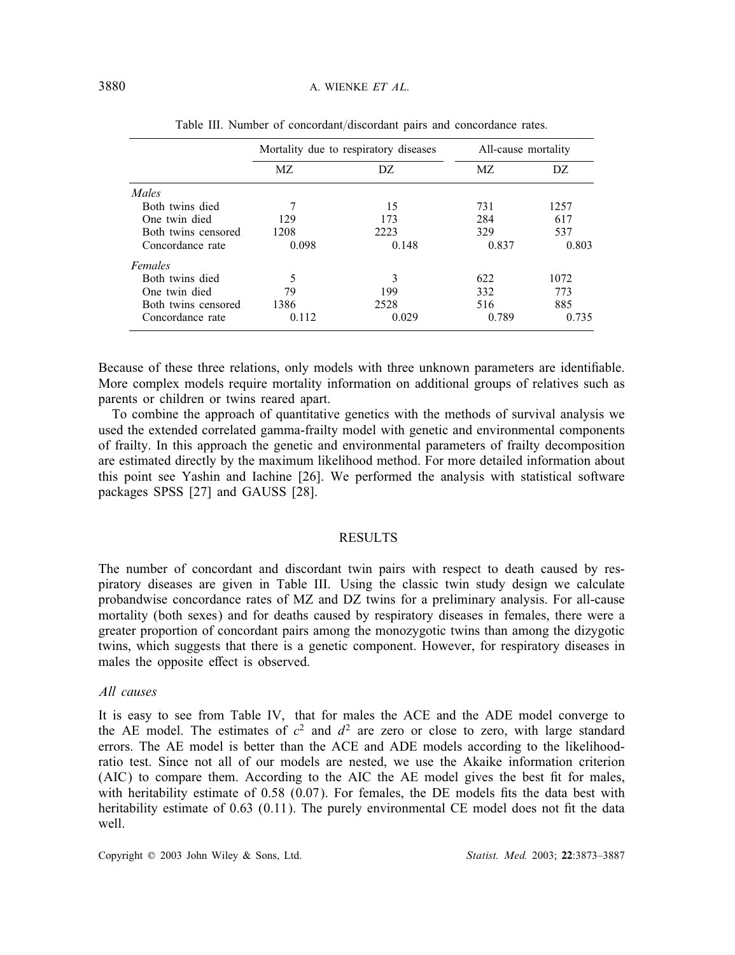|                     |       | Mortality due to respiratory diseases | All-cause mortality |       |  |
|---------------------|-------|---------------------------------------|---------------------|-------|--|
|                     | MZ.   | DZ.                                   | MZ.                 | DZ.   |  |
| Males               |       |                                       |                     |       |  |
| Both twins died     |       | 15                                    | 731                 | 1257  |  |
| One twin died       | 129   | 173                                   | 284                 | 617   |  |
| Both twins censored | 1208  | 2223                                  | 329                 | 537   |  |
| Concordance rate    | 0.098 | 0.148                                 | 0.837               | 0.803 |  |
| Females             |       |                                       |                     |       |  |
| Both twins died     | 5     | 3                                     | 622                 | 1072  |  |
| One twin died       | 79    | 199                                   | 332                 | 773   |  |
| Both twins censored | 1386  | 2528                                  | 516                 | 885   |  |
| Concordance rate    | 0.112 | 0.029                                 | 0.789               | 0.735 |  |

Table III. Number of concordant/discordant pairs and concordance rates.

Because of these three relations, only models with three unknown parameters are identifiable. More complex models require mortality information on additional groups of relatives such as parents or children or twins reared apart.

To combine the approach of quantitative genetics with the methods of survival analysis we used the extended correlated gamma-frailty model with genetic and environmental components of frailty. In this approach the genetic and environmental parameters of frailty decomposition are estimated directly by the maximum likelihood method. For more detailed information about this point see Yashin and Iachine [26]. We performed the analysis with statistical software packages SPSS [27] and GAUSS [28].

### RESULTS

The number of concordant and discordant twin pairs with respect to death caused by respiratory diseases are given in Table III. Using the classic twin study design we calculate probandwise concordance rates of MZ and DZ twins for a preliminary analysis. For all-cause mortality (both sexes) and for deaths caused by respiratory diseases in females, there were a greater proportion of concordant pairs among the monozygotic twins than among the dizygotic twins, which suggests that there is a genetic component. However, for respiratory diseases in males the opposite effect is observed.

# *All causes*

It is easy to see from Table IV, that for males the ACE and the ADE model converge to the AE model. The estimates of  $c^2$  and  $d^2$  are zero or close to zero, with large standard errors. The AE model is better than the ACE and ADE models according to the likelihoodratio test. Since not all of our models are nested, we use the Akaike information criterion (AIC) to compare them. According to the AIC the AE model gives the best fit for males, with heritability estimate of  $0.58 \ (0.07)$ . For females, the DE models fits the data best with heritability estimate of  $0.63$  ( $0.11$ ). The purely environmental CE model does not fit the data well.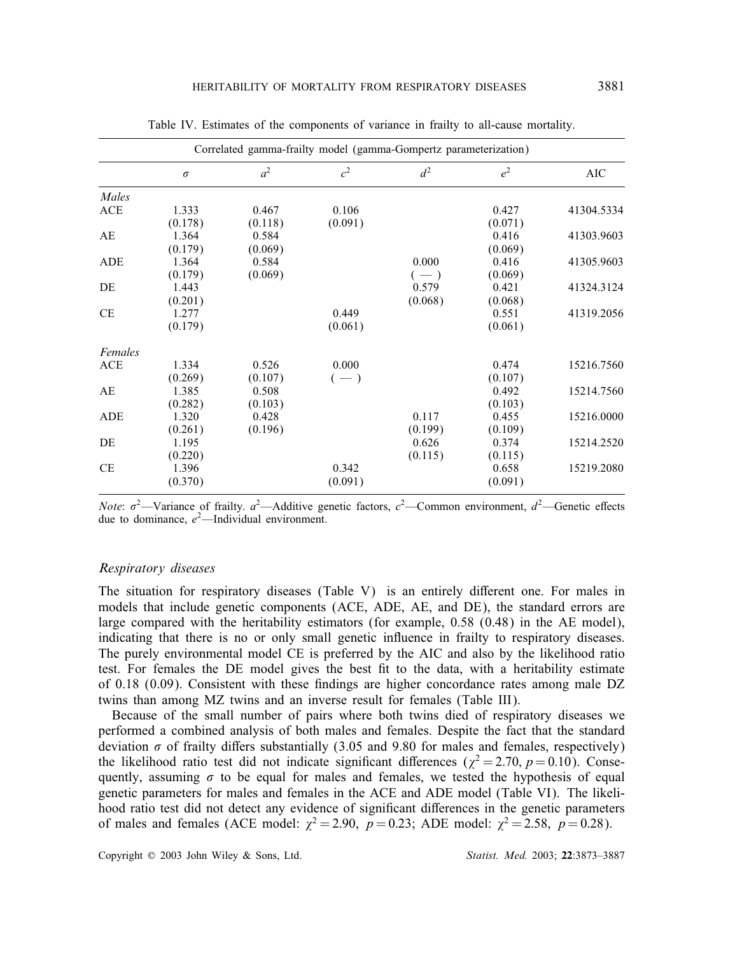|            | Correlated gamma-frailty model (gamma-Gompertz parameterization) |         |                |         |         |            |  |  |  |  |  |
|------------|------------------------------------------------------------------|---------|----------------|---------|---------|------------|--|--|--|--|--|
|            | $\sigma$                                                         | $a^2$   | c <sup>2</sup> | $d^2$   | $e^2$   | <b>AIC</b> |  |  |  |  |  |
| Males      |                                                                  |         |                |         |         |            |  |  |  |  |  |
| <b>ACE</b> | 1.333                                                            | 0.467   | 0.106          |         | 0.427   | 41304.5334 |  |  |  |  |  |
|            | (0.178)                                                          | (0.118) | (0.091)        |         | (0.071) |            |  |  |  |  |  |
| AE         | 1.364                                                            | 0.584   |                |         | 0.416   | 41303.9603 |  |  |  |  |  |
|            | (0.179)                                                          | (0.069) |                |         | (0.069) |            |  |  |  |  |  |
| ADE        | 1.364                                                            | 0.584   |                | 0.000   | 0.416   | 41305.9603 |  |  |  |  |  |
|            | (0.179)                                                          | (0.069) |                | $(-)$   | (0.069) |            |  |  |  |  |  |
| DE         | 1.443                                                            |         |                | 0.579   | 0.421   | 41324.3124 |  |  |  |  |  |
|            | (0.201)                                                          |         |                | (0.068) | (0.068) |            |  |  |  |  |  |
| <b>CE</b>  | 1.277                                                            |         | 0.449          |         | 0.551   | 41319.2056 |  |  |  |  |  |
|            | (0.179)                                                          |         | (0.061)        |         | (0.061) |            |  |  |  |  |  |
| Females    |                                                                  |         |                |         |         |            |  |  |  |  |  |
| ACE        | 1.334                                                            | 0.526   | 0.000          |         | 0.474   | 15216.7560 |  |  |  |  |  |
|            | (0.269)                                                          | (0.107) | $(-)$          |         | (0.107) |            |  |  |  |  |  |
| AE         | 1.385                                                            | 0.508   |                |         | 0.492   | 15214.7560 |  |  |  |  |  |
|            | (0.282)                                                          | (0.103) |                |         | (0.103) |            |  |  |  |  |  |
| ADE        | 1.320                                                            | 0.428   |                | 0.117   | 0.455   | 15216.0000 |  |  |  |  |  |
|            | (0.261)                                                          | (0.196) |                | (0.199) | (0.109) |            |  |  |  |  |  |
| DE         | 1.195                                                            |         |                | 0.626   | 0.374   | 15214.2520 |  |  |  |  |  |
|            | (0.220)                                                          |         |                | (0.115) | (0.115) |            |  |  |  |  |  |
| <b>CE</b>  | 1.396                                                            |         | 0.342          |         | 0.658   | 15219.2080 |  |  |  |  |  |
|            | (0.370)                                                          |         | (0.091)        |         | (0.091) |            |  |  |  |  |  |
|            |                                                                  |         |                |         |         |            |  |  |  |  |  |

Table IV. Estimates of the components of variance in frailty to all-cause mortality.

*Note*:  $\sigma^2$ —Variance of frailty.  $a^2$ —Additive genetic factors,  $c^2$ —Common environment,  $d^2$ —Genetic effects due to dominance,  $e^2$ —Individual environment.

#### *Respiratory diseases*

The situation for respiratory diseases (Table V) is an entirely different one. For males in models that include genetic components (ACE, ADE, AE, and DE), the standard errors are large compared with the heritability estimators (for example, 0.58 (0.48) in the AE model), indicating that there is no or only small genetic influence in frailty to respiratory diseases. The purely environmental model CE is preferred by the AIC and also by the likelihood ratio test. For females the DE model gives the best fit to the data, with a heritability estimate of  $0.18$  (0.09). Consistent with these findings are higher concordance rates among male DZ twins than among MZ twins and an inverse result for females (Table III).

Because of the small number of pairs where both twins died of respiratory diseases we performed a combined analysis of both males and females. Despite the fact that the standard deviation  $\sigma$  of frailty differs substantially (3.05 and 9.80 for males and females, respectively) the likelihood ratio test did not indicate significant differences ( $\chi^2 = 2.70$ ,  $p = 0.10$ ). Consequently, assuming  $\sigma$  to be equal for males and females, we tested the hypothesis of equal genetic parameters for males and females in the ACE and ADE model (Table VI). The likelihood ratio test did not detect any evidence of significant differences in the genetic parameters of males and females (ACE model:  $\chi^2 = 2.90$ ,  $p = 0.23$ ; ADE model:  $\chi^2 = 2.58$ ,  $p = 0.28$ ).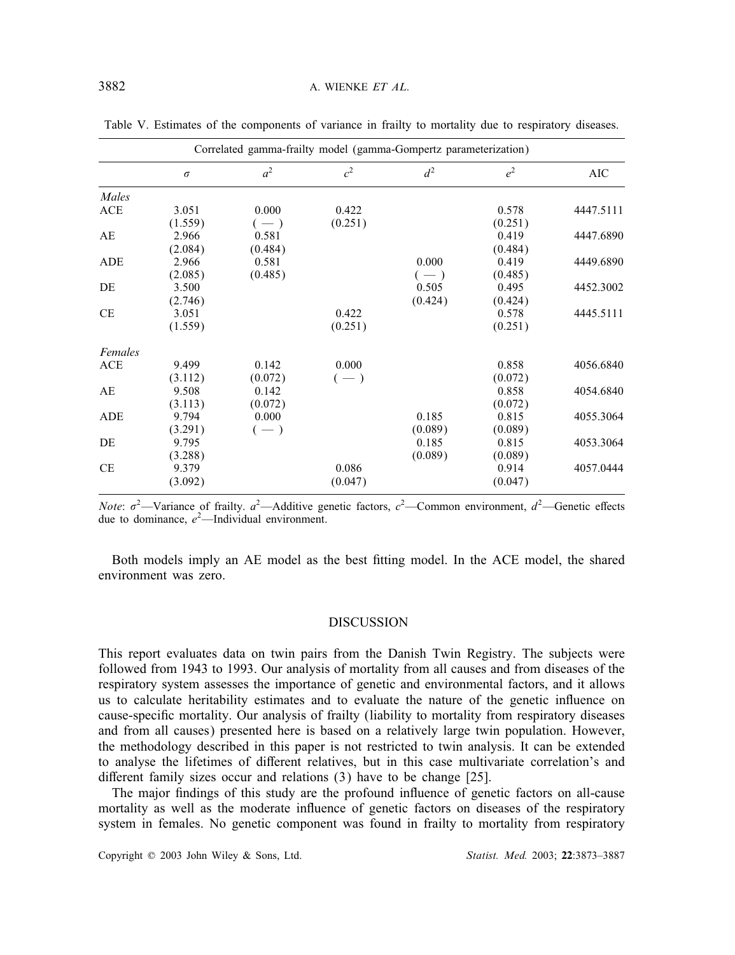|            | Correlated gamma-frailty model (gamma-Gompertz parameterization) |                |                |         |         |            |  |  |  |  |  |
|------------|------------------------------------------------------------------|----------------|----------------|---------|---------|------------|--|--|--|--|--|
|            | $\sigma$                                                         | a <sup>2</sup> | c <sup>2</sup> | $d^2$   | $e^2$   | <b>AIC</b> |  |  |  |  |  |
| Males      |                                                                  |                |                |         |         |            |  |  |  |  |  |
| ACE        | 3.051                                                            | 0.000          | 0.422          |         | 0.578   | 4447.5111  |  |  |  |  |  |
|            | (1.559)                                                          | $(-)$          | (0.251)        |         | (0.251) |            |  |  |  |  |  |
| AE         | 2.966                                                            | 0.581          |                |         | 0.419   | 4447.6890  |  |  |  |  |  |
|            | (2.084)                                                          | (0.484)        |                |         | (0.484) |            |  |  |  |  |  |
| ADE        | 2.966                                                            | 0.581          |                | 0.000   | 0.419   | 4449.6890  |  |  |  |  |  |
|            | (2.085)                                                          | (0.485)        |                | $(-)$   | (0.485) |            |  |  |  |  |  |
| DE         | 3.500                                                            |                |                | 0.505   | 0.495   | 4452.3002  |  |  |  |  |  |
|            | (2.746)                                                          |                |                | (0.424) | (0.424) |            |  |  |  |  |  |
| CE         | 3.051                                                            |                | 0.422          |         | 0.578   | 4445.5111  |  |  |  |  |  |
|            | (1.559)                                                          |                | (0.251)        |         | (0.251) |            |  |  |  |  |  |
| Females    |                                                                  |                |                |         |         |            |  |  |  |  |  |
| <b>ACE</b> | 9.499                                                            | 0.142          | 0.000          |         | 0.858   | 4056.6840  |  |  |  |  |  |
|            | (3.112)                                                          | (0.072)        | $(-)$          |         | (0.072) |            |  |  |  |  |  |
| AE         | 9.508                                                            | 0.142          |                |         | 0.858   | 4054.6840  |  |  |  |  |  |
|            | (3.113)                                                          | (0.072)        |                |         | (0.072) |            |  |  |  |  |  |
| ADE        | 9.794                                                            | 0.000          |                | 0.185   | 0.815   | 4055.3064  |  |  |  |  |  |
|            | (3.291)                                                          | $(-)$          |                | (0.089) | (0.089) |            |  |  |  |  |  |
| DE         | 9.795                                                            |                |                | 0.185   | 0.815   | 4053.3064  |  |  |  |  |  |
|            | (3.288)                                                          |                |                | (0.089) | (0.089) |            |  |  |  |  |  |
| CE         | 9.379                                                            |                | 0.086          |         | 0.914   | 4057.0444  |  |  |  |  |  |
|            | (3.092)                                                          |                | (0.047)        |         | (0.047) |            |  |  |  |  |  |
|            |                                                                  |                |                |         |         |            |  |  |  |  |  |

Table V. Estimates of the components of variance in frailty to mortality due to respiratory diseases.

*Note*:  $\sigma^2$ —Variance of frailty.  $a^2$ —Additive genetic factors,  $c^2$ —Common environment,  $d^2$ —Genetic effects due to dominance,  $e^2$ —Individual environment.

Both models imply an AE model as the best tting model. In the ACE model, the shared environment was zero.

# DISCUSSION

This report evaluates data on twin pairs from the Danish Twin Registry. The subjects were followed from 1943 to 1993. Our analysis of mortality from all causes and from diseases of the respiratory system assesses the importance of genetic and environmental factors, and it allows us to calculate heritability estimates and to evaluate the nature of the genetic influence on cause-specific mortality. Our analysis of frailty (liability to mortality from respiratory diseases and from all causes) presented here is based on a relatively large twin population. However, the methodology described in this paper is not restricted to twin analysis. It can be extended to analyse the lifetimes of different relatives, but in this case multivariate correlation's and different family sizes occur and relations  $(3)$  have to be change [25].

The major findings of this study are the profound influence of genetic factors on all-cause mortality as well as the moderate influence of genetic factors on diseases of the respiratory system in females. No genetic component was found in frailty to mortality from respiratory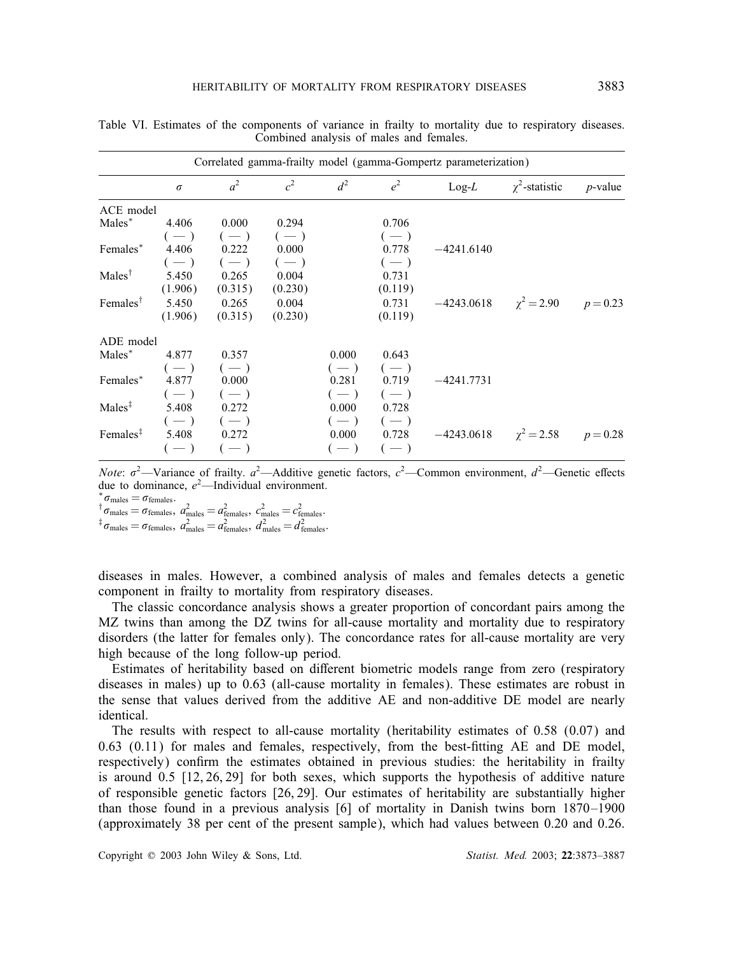|                      | Correlated gamma-frailty model (gamma-Gompertz parameterization) |                   |                |       |             |              |                                |            |  |  |  |  |
|----------------------|------------------------------------------------------------------|-------------------|----------------|-------|-------------|--------------|--------------------------------|------------|--|--|--|--|
|                      | $\sigma$                                                         | $a^2$             | c <sup>2</sup> | $d^2$ | $e^2$       | $Log-L$      | $\chi^2$ -statistic            | $p$ -value |  |  |  |  |
| ACE model            |                                                                  |                   |                |       |             |              |                                |            |  |  |  |  |
| Males*               | 4.406                                                            | 0.000             | 0.294          |       | 0.706       |              |                                |            |  |  |  |  |
|                      | $(-)$                                                            | $(-)$             | $(-)$          |       | $(-)$       |              |                                |            |  |  |  |  |
| Females*             | 4.406                                                            | $0.222$ $0.000$   |                |       | 0.778       | $-4241.6140$ |                                |            |  |  |  |  |
|                      |                                                                  | $(-)$ $(-)$ $(-)$ |                |       | $(-)$       |              |                                |            |  |  |  |  |
| $Males^{\dagger}$    | 5.450                                                            | 0.265             | 0.004          |       | 0.731       |              |                                |            |  |  |  |  |
|                      | (1.906)                                                          | (0.315)           | (0.230)        |       | (0.119)     |              |                                |            |  |  |  |  |
| Females <sup>†</sup> | 5.450                                                            | 0.265             | 0.004          |       | 0.731       | $-4243.0618$ | $\chi^2 = 2.90$                | $p = 0.23$ |  |  |  |  |
|                      | (1.906)                                                          | (0.315)           | (0.230)        |       | (0.119)     |              |                                |            |  |  |  |  |
| ADE model            |                                                                  |                   |                |       |             |              |                                |            |  |  |  |  |
| Males*               | 4.877                                                            | 0.357             |                | 0.000 | 0.643       |              |                                |            |  |  |  |  |
|                      |                                                                  | $(-)$ $(-)$       |                | $(-)$ | $(-)$       |              |                                |            |  |  |  |  |
| Females*             | 4.877                                                            | 0.000             |                | 0.281 | 0.719       | $-4241.7731$ |                                |            |  |  |  |  |
|                      |                                                                  | $(-)$ $(-)$       |                | $(-)$ | $(-)$       |              |                                |            |  |  |  |  |
| Males <sup>‡</sup>   | 5.408                                                            | 0.272             |                | 0.000 | 0.728       |              |                                |            |  |  |  |  |
|                      |                                                                  | $(-)$ $(-)$       |                |       | $(-)$ $(-)$ |              |                                |            |  |  |  |  |
| Females <sup>‡</sup> | 5.408                                                            | 0.272             |                |       | 0.000 0.728 |              | $-4243.0618$ $\gamma^2 = 2.58$ | $p = 0.28$ |  |  |  |  |
|                      | $(-)$                                                            | $(-)$             |                | $(-)$ | $(-)$       |              |                                |            |  |  |  |  |

Table VI. Estimates of the components of variance in frailty to mortality due to respiratory diseases. Combined analysis of males and females.

*Note*:  $\sigma^2$ —Variance of frailty.  $a^2$ —Additive genetic factors,  $c^2$ —Common environment,  $d^2$ —Genetic effects due to dominance,  $e^2$ —Individual environment.

 ${}^{\epsilon}\sigma_{\text{males}} = \sigma_{\text{females}}.$ 

 $\sigma_{\text{males}} = \sigma_{\text{females}}$ ,  $a_{\text{males}}^2 = a_{\text{females}}^2$ ,  $c_{\text{males}}^2 = c_{\text{females}}^2$ .  ${}^{\ddagger}\sigma_{\rm males}=\sigma_{\rm females},\ a^2_{\rm males}=a^2_{\rm females},\ d^2_{\rm males}=d^2_{\rm females}.$ 

diseases in males. However, a combined analysis of males and females detects a genetic component in frailty to mortality from respiratory diseases.

The classic concordance analysis shows a greater proportion of concordant pairs among the MZ twins than among the DZ twins for all-cause mortality and mortality due to respiratory disorders (the latter for females only). The concordance rates for all-cause mortality are very high because of the long follow-up period.

Estimates of heritability based on different biometric models range from zero (respiratory diseases in males) up to 0.63 (all-cause mortality in females). These estimates are robust in the sense that values derived from the additive AE and non-additive DE model are nearly identical.

The results with respect to all-cause mortality (heritability estimates of 0.58 (0.07) and  $0.63$   $(0.11)$  for males and females, respectively, from the best-fitting AE and DE model, respectively) confirm the estimates obtained in previous studies: the heritability in frailty is around 0.5 [12, 26, 29] for both sexes, which supports the hypothesis of additive nature of responsible genetic factors [26, 29]. Our estimates of heritability are substantially higher than those found in a previous analysis [6] of mortality in Danish twins born 1870–1900 (approximately 38 per cent of the present sample), which had values between 0.20 and 0.26.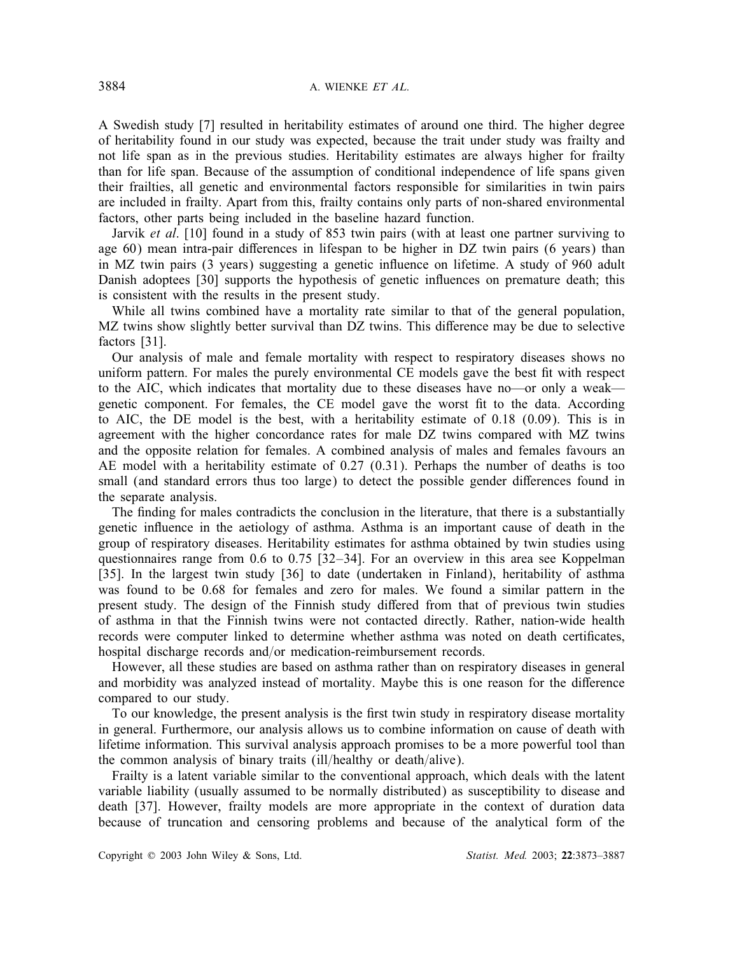A Swedish study [7] resulted in heritability estimates of around one third. The higher degree of heritability found in our study was expected, because the trait under study was frailty and not life span as in the previous studies. Heritability estimates are always higher for frailty than for life span. Because of the assumption of conditional independence of life spans given their frailties, all genetic and environmental factors responsible for similarities in twin pairs are included in frailty. Apart from this, frailty contains only parts of non-shared environmental factors, other parts being included in the baseline hazard function.

Jarvik *et al*. [10] found in a study of 853 twin pairs (with at least one partner surviving to age  $60$ ) mean intra-pair differences in lifespan to be higher in DZ twin pairs (6 years) than in MZ twin pairs (3 years) suggesting a genetic influence on lifetime. A study of 960 adult Danish adoptees [30] supports the hypothesis of genetic influences on premature death; this is consistent with the results in the present study.

While all twins combined have a mortality rate similar to that of the general population, MZ twins show slightly better survival than DZ twins. This difference may be due to selective factors [31].

Our analysis of male and female mortality with respect to respiratory diseases shows no uniform pattern. For males the purely environmental CE models gave the best fit with respect to the AIC, which indicates that mortality due to these diseases have no—or only a weak genetic component. For females, the CE model gave the worst fit to the data. According to AIC, the DE model is the best, with a heritability estimate of 0.18 (0.09). This is in agreement with the higher concordance rates for male DZ twins compared with MZ twins and the opposite relation for females. A combined analysis of males and females favours an AE model with a heritability estimate of 0.27 (0.31). Perhaps the number of deaths is too small (and standard errors thus too large) to detect the possible gender differences found in the separate analysis.

The finding for males contradicts the conclusion in the literature, that there is a substantially genetic influence in the aetiology of asthma. Asthma is an important cause of death in the group of respiratory diseases. Heritability estimates for asthma obtained by twin studies using questionnaires range from 0.6 to 0.75 [32–34]. For an overview in this area see Koppelman [35]. In the largest twin study [36] to date (undertaken in Finland), heritability of asthma was found to be 0.68 for females and zero for males. We found a similar pattern in the present study. The design of the Finnish study differed from that of previous twin studies of asthma in that the Finnish twins were not contacted directly. Rather, nation-wide health records were computer linked to determine whether asthma was noted on death certificates, hospital discharge records and/or medication-reimbursement records.

However, all these studies are based on asthma rather than on respiratory diseases in general and morbidity was analyzed instead of mortality. Maybe this is one reason for the difference compared to our study.

To our knowledge, the present analysis is the first twin study in respiratory disease mortality in general. Furthermore, our analysis allows us to combine information on cause of death with lifetime information. This survival analysis approach promises to be a more powerful tool than the common analysis of binary traits (ill/healthy or death/alive).

Frailty is a latent variable similar to the conventional approach, which deals with the latent variable liability (usually assumed to be normally distributed) as susceptibility to disease and death [37]. However, frailty models are more appropriate in the context of duration data because of truncation and censoring problems and because of the analytical form of the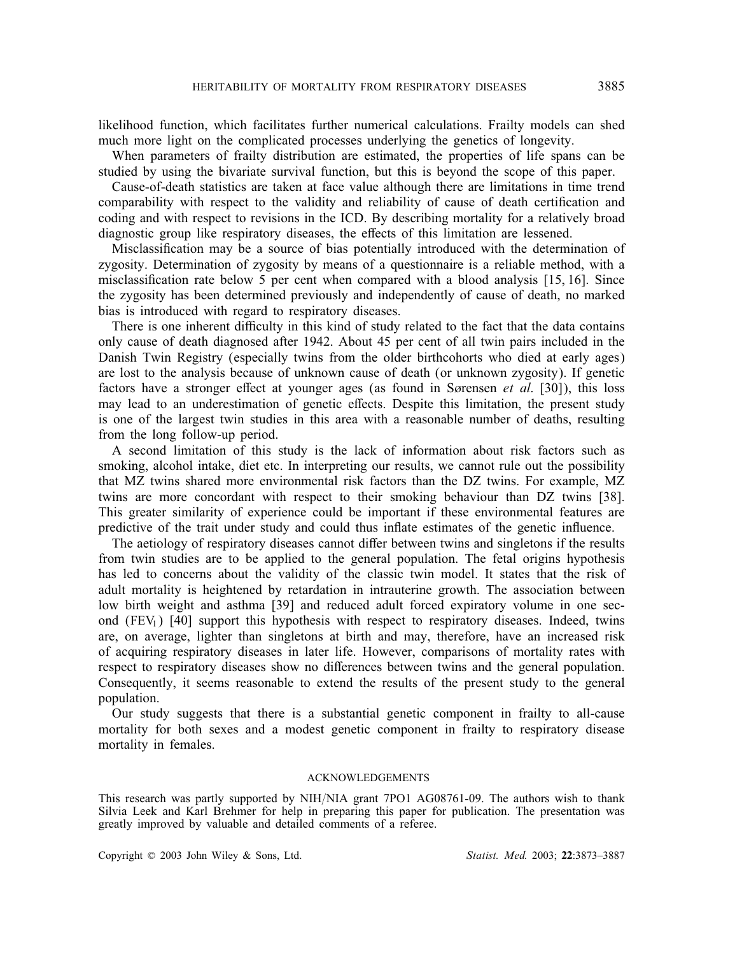likelihood function, which facilitates further numerical calculations. Frailty models can shed much more light on the complicated processes underlying the genetics of longevity.

When parameters of frailty distribution are estimated, the properties of life spans can be studied by using the bivariate survival function, but this is beyond the scope of this paper.

Cause-of-death statistics are taken at face value although there are limitations in time trend comparability with respect to the validity and reliability of cause of death certication and coding and with respect to revisions in the ICD. By describing mortality for a relatively broad diagnostic group like respiratory diseases, the effects of this limitation are lessened.

Misclassification may be a source of bias potentially introduced with the determination of zygosity. Determination of zygosity by means of a questionnaire is a reliable method, with a misclassification rate below 5 per cent when compared with a blood analysis  $[15, 16]$ . Since the zygosity has been determined previously and independently of cause of death, no marked bias is introduced with regard to respiratory diseases.

There is one inherent difficulty in this kind of study related to the fact that the data contains only cause of death diagnosed after 1942. About 45 per cent of all twin pairs included in the Danish Twin Registry (especially twins from the older birthcohorts who died at early ages) are lost to the analysis because of unknown cause of death (or unknown zygosity). If genetic factors have a stronger effect at younger ages (as found in Sørensen *et al.* [30]), this loss may lead to an underestimation of genetic effects. Despite this limitation, the present study is one of the largest twin studies in this area with a reasonable number of deaths, resulting from the long follow-up period.

A second limitation of this study is the lack of information about risk factors such as smoking, alcohol intake, diet etc. In interpreting our results, we cannot rule out the possibility that MZ twins shared more environmental risk factors than the DZ twins. For example, MZ twins are more concordant with respect to their smoking behaviour than DZ twins [38]. This greater similarity of experience could be important if these environmental features are predictive of the trait under study and could thus inflate estimates of the genetic influence.

The aetiology of respiratory diseases cannot differ between twins and singletons if the results from twin studies are to be applied to the general population. The fetal origins hypothesis has led to concerns about the validity of the classic twin model. It states that the risk of adult mortality is heightened by retardation in intrauterine growth. The association between low birth weight and asthma [39] and reduced adult forced expiratory volume in one second  $(FEV_1)$  [40] support this hypothesis with respect to respiratory diseases. Indeed, twins are, on average, lighter than singletons at birth and may, therefore, have an increased risk of acquiring respiratory diseases in later life. However, comparisons of mortality rates with respect to respiratory diseases show no differences between twins and the general population. Consequently, it seems reasonable to extend the results of the present study to the general population.

Our study suggests that there is a substantial genetic component in frailty to all-cause mortality for both sexes and a modest genetic component in frailty to respiratory disease mortality in females.

#### ACKNOWLEDGEMENTS

This research was partly supported by NIH/NIA grant 7PO1 AG08761-09. The authors wish to thank Silvia Leek and Karl Brehmer for help in preparing this paper for publication. The presentation was greatly improved by valuable and detailed comments of a referee.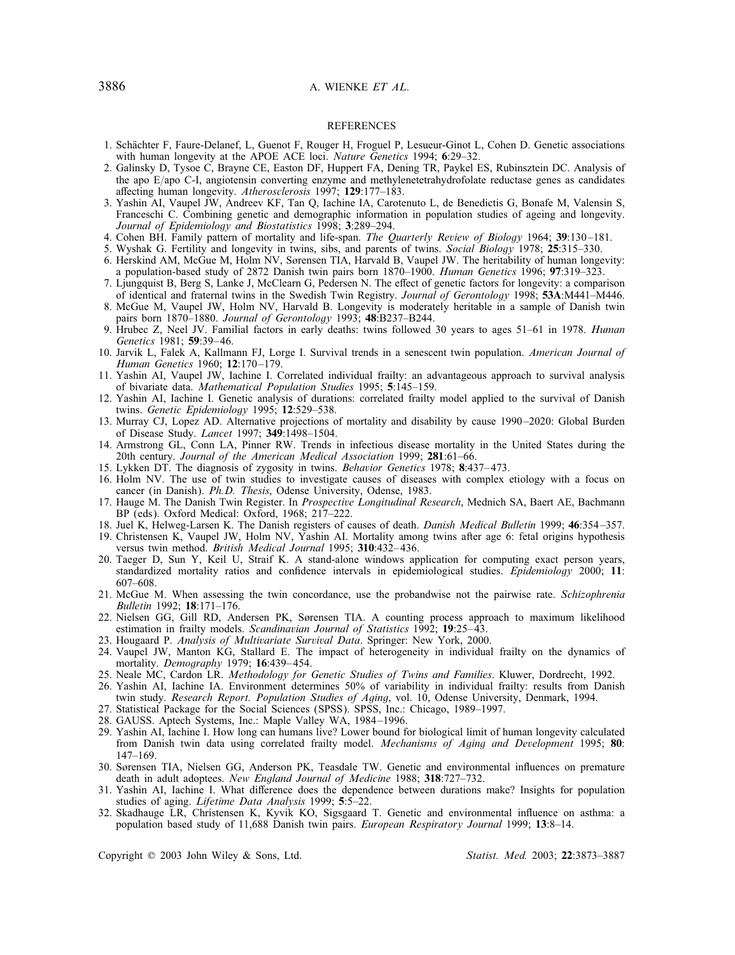### 3886 A. WIENKE *ET AL*.

#### REFERENCES

- 1. Schachter F, Faure-Delanef, L, Guenot F, Rouger H, Froguel P, Lesueur-Ginot L, Cohen D. Genetic associations with human longevity at the APOE ACE loci. *Nature Genetics* 1994; 6:29–32.
- 2. Galinsky D, Tysoe C, Brayne CE, Easton DF, Huppert FA, Dening TR, Paykel ES, Rubinsztein DC. Analysis of the apo  $E$ /apo C-I, angiotensin converting enzyme and methylenetetrahydrofolate reductase genes as candidates affecting human longevity. Atherosclerosis 1997; 129:177-183.
- 3. Yashin AI, Vaupel JW, Andreev KF, Tan Q, Iachine IA, Carotenuto L, de Benedictis G, Bonafe M, Valensin S, Franceschi C. Combining genetic and demographic information in population studies of ageing and longevity. *Journal of Epidemiology and Biostatistics* 1998; 3:289–294.
- 4. Cohen BH. Family pattern of mortality and life-span. *The Quarterly Review of Biology* 1964; 39:130 –181.
- 5. Wyshak G. Fertility and longevity in twins, sibs, and parents of twins. *Social Biology* 1978; 25:315–330.
- 6. Herskind AM, McGue M, Holm NV, Sørensen TIA, Harvald B, Vaupel JW. The heritability of human longevity: a population-based study of 2872 Danish twin pairs born 1870–1900. *Human Genetics* 1996; 97:319–323.
- 7. Ljungquist B, Berg S, Lanke J, McClearn G, Pedersen N. The effect of genetic factors for longevity: a comparison of identical and fraternal twins in the Swedish Twin Registry. *Journal of Gerontology* 1998; 53A:M441–M446.
- 8. McGue M, Vaupel JW, Holm NV, Harvald B. Longevity is moderately heritable in a sample of Danish twin pairs born 1870–1880. *Journal of Gerontology* 1993; 48:B237–B244.
- 9. Hrubec Z, Neel JV. Familial factors in early deaths: twins followed 30 years to ages 51–61 in 1978. *Human Genetics* 1981; 59:39– 46.
- 10. Jarvik L, Falek A, Kallmann FJ, Lorge I. Survival trends in a senescent twin population. *American Journal of Human Genetics* 1960; 12:170 –179.
- 11. Yashin AI, Vaupel JW, Iachine I. Correlated individual frailty: an advantageous approach to survival analysis of bivariate data. *Mathematical Population Studies* 1995; 5:145–159.
- 12. Yashin AI, Iachine I. Genetic analysis of durations: correlated frailty model applied to the survival of Danish twins. *Genetic Epidemiology* 1995; 12:529–538.
- 13. Murray CJ, Lopez AD. Alternative projections of mortality and disability by cause 1990 –2020: Global Burden of Disease Study. *Lancet* 1997; 349:1498–1504.
- 14. Armstrong GL, Conn LA, Pinner RW. Trends in infectious disease mortality in the United States during the 20th century. *Journal of the American Medical Association* 1999; 281:61–66.
- 15. Lykken DT. The diagnosis of zygosity in twins. *Behavior Genetics* 1978; 8:437– 473.
- 16. Holm NV. The use of twin studies to investigate causes of diseases with complex etiology with a focus on cancer (in Danish). *Ph.D. Thesis*, Odense University, Odense, 1983.
- 17. Hauge M. The Danish Twin Register. In *Prospective Longitudinal Research*, Mednich SA, Baert AE, Bachmann BP (eds). Oxford Medical: Oxford, 1968; 217–222.
- 18. Juel K, Helweg-Larsen K. The Danish registers of causes of death. *Danish Medical Bulletin* 1999; 46:354 –357.
- 19. Christensen K, Vaupel JW, Holm NV, Yashin AI. Mortality among twins after age 6: fetal origins hypothesis versus twin method. *British Medical Journal* 1995; 310:432– 436.
- 20. Taeger D, Sun Y, Keil U, Straif K. A stand-alone windows application for computing exact person years, standardized mortality ratios and condence intervals in epidemiological studies. *Epidemiology* 2000; 11: 607–608.
- 21. McGue M. When assessing the twin concordance, use the probandwise not the pairwise rate. *Schizophrenia Bulletin* 1992; 18:171–176.
- 22. Nielsen GG, Gill RD, Andersen PK, Srensen TIA. A counting process approach to maximum likelihood estimation in frailty models. *Scandinavian Journal of Statistics* 1992; 19:25–43.
- 23. Hougaard P. *Analysis of Multivariate Survival Data*. Springer: New York, 2000.
- 24. Vaupel JW, Manton KG, Stallard E. The impact of heterogeneity in individual frailty on the dynamics of mortality. *Demography* 1979; 16:439– 454.
- 25. Neale MC, Cardon LR. *Methodology for Genetic Studies of Twins and Families*. Kluwer, Dordrecht, 1992.
- 26. Yashin AI, Iachine IA. Environment determines 50% of variability in individual frailty: results from Danish twin study. *Research Report. Population Studies of Aging*, vol. 10, Odense University, Denmark, 1994.
- 27. Statistical Package for the Social Sciences (SPSS). SPSS, Inc.: Chicago, 1989–1997.
- 28. GAUSS. Aptech Systems, Inc.: Maple Valley WA, 1984 –1996.
- 29. Yashin AI, Iachine I. How long can humans live? Lower bound for biological limit of human longevity calculated from Danish twin data using correlated frailty model. *Mechanisms of Aging and Development* 1995; 80: 147–169.
- 30. Sørensen TIA, Nielsen GG, Anderson PK, Teasdale TW. Genetic and environmental influences on premature death in adult adoptees. *New England Journal of Medicine* 1988; 318:727–732.
- 31. Yashin AI, Iachine I. What difference does the dependence between durations make? Insights for population studies of aging. *Lifetime Data Analysis* 1999; 5:5–22.
- 32. Skadhauge LR, Christensen K, Kyvik KO, Sigsgaard T. Genetic and environmental influence on asthma: a population based study of 11,688 Danish twin pairs. *European Respiratory Journal* 1999; 13:8–14.